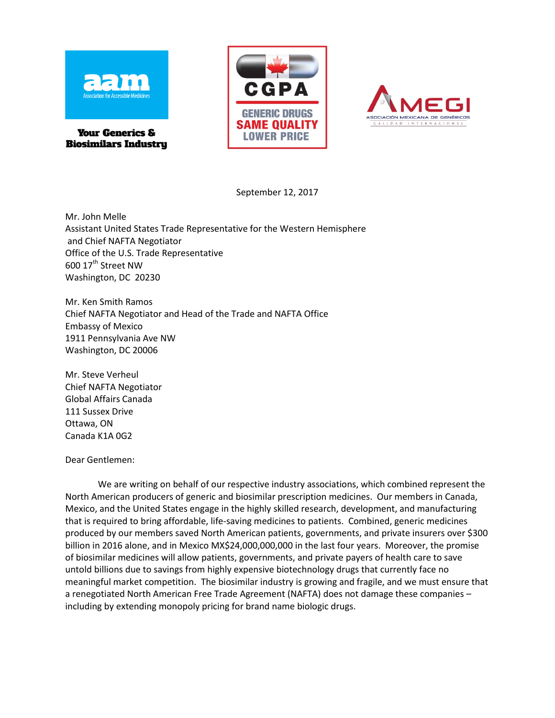

**Your Generics & Biosimilars Industry** 





September 12, 2017

Mr. John Melle Assistant United States Trade Representative for the Western Hemisphere and Chief NAFTA Negotiator Office of the U.S. Trade Representative 600 17<sup>th</sup> Street NW Washington, DC 20230

Mr. Ken Smith Ramos Chief NAFTA Negotiator and Head of the Trade and NAFTA Office Embassy of Mexico 1911 Pennsylvania Ave NW Washington, DC 20006

Mr. Steve Verheul Chief NAFTA Negotiator Global Affairs Canada 111 Sussex Drive Ottawa, ON Canada K1A 0G2

Dear Gentlemen:

We are writing on behalf of our respective industry associations, which combined represent the North American producers of generic and biosimilar prescription medicines. Our members in Canada, Mexico, and the United States engage in the highly skilled research, development, and manufacturing that is required to bring affordable, life-saving medicines to patients. Combined, generic medicines produced by our members saved North American patients, governments, and private insurers over \$300 billion in 2016 alone, and in Mexico MX\$24,000,000,000 in the last four years. Moreover, the promise of biosimilar medicines will allow patients, governments, and private payers of health care to save untold billions due to savings from highly expensive biotechnology drugs that currently face no meaningful market competition. The biosimilar industry is growing and fragile, and we must ensure that a renegotiated North American Free Trade Agreement (NAFTA) does not damage these companies – including by extending monopoly pricing for brand name biologic drugs.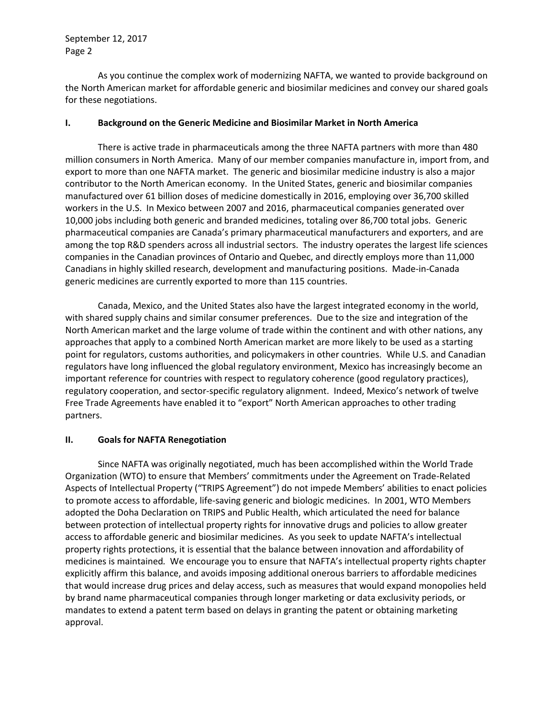September 12, 2017 Page 2

As you continue the complex work of modernizing NAFTA, we wanted to provide background on the North American market for affordable generic and biosimilar medicines and convey our shared goals for these negotiations.

## **I. Background on the Generic Medicine and Biosimilar Market in North America**

There is active trade in pharmaceuticals among the three NAFTA partners with more than 480 million consumers in North America. Many of our member companies manufacture in, import from, and export to more than one NAFTA market. The generic and biosimilar medicine industry is also a major contributor to the North American economy. In the United States, generic and biosimilar companies manufactured over 61 billion doses of medicine domestically in 2016, employing over 36,700 skilled workers in the U.S. In Mexico between 2007 and 2016, pharmaceutical companies generated over 10,000 jobs including both generic and branded medicines, totaling over 86,700 total jobs. Generic pharmaceutical companies are Canada's primary pharmaceutical manufacturers and exporters, and are among the top R&D spenders across all industrial sectors. The industry operates the largest life sciences companies in the Canadian provinces of Ontario and Quebec, and directly employs more than 11,000 Canadians in highly skilled research, development and manufacturing positions. Made-in-Canada generic medicines are currently exported to more than 115 countries.

Canada, Mexico, and the United States also have the largest integrated economy in the world, with shared supply chains and similar consumer preferences. Due to the size and integration of the North American market and the large volume of trade within the continent and with other nations, any approaches that apply to a combined North American market are more likely to be used as a starting point for regulators, customs authorities, and policymakers in other countries. While U.S. and Canadian regulators have long influenced the global regulatory environment, Mexico has increasingly become an important reference for countries with respect to regulatory coherence (good regulatory practices), regulatory cooperation, and sector-specific regulatory alignment. Indeed, Mexico's network of twelve Free Trade Agreements have enabled it to "export" North American approaches to other trading partners.

## **II. Goals for NAFTA Renegotiation**

Since NAFTA was originally negotiated, much has been accomplished within the World Trade Organization (WTO) to ensure that Members' commitments under the Agreement on Trade-Related Aspects of Intellectual Property ("TRIPS Agreement") do not impede Members' abilities to enact policies to promote access to affordable, life-saving generic and biologic medicines. In 2001, WTO Members adopted the Doha Declaration on TRIPS and Public Health, which articulated the need for balance between protection of intellectual property rights for innovative drugs and policies to allow greater access to affordable generic and biosimilar medicines. As you seek to update NAFTA's intellectual property rights protections, it is essential that the balance between innovation and affordability of medicines is maintained*.* We encourage you to ensure that NAFTA's intellectual property rights chapter explicitly affirm this balance, and avoids imposing additional onerous barriers to affordable medicines that would increase drug prices and delay access, such as measures that would expand monopolies held by brand name pharmaceutical companies through longer marketing or data exclusivity periods, or mandates to extend a patent term based on delays in granting the patent or obtaining marketing approval.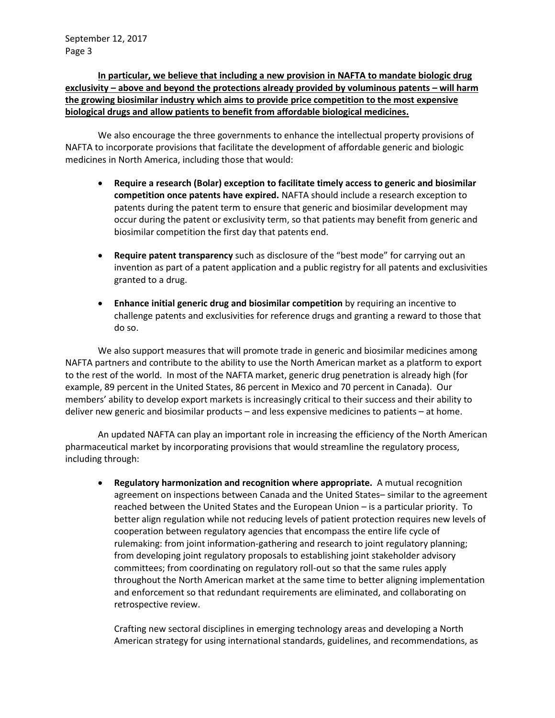**In particular, we believe that including a new provision in NAFTA to mandate biologic drug exclusivity – above and beyond the protections already provided by voluminous patents – will harm the growing biosimilar industry which aims to provide price competition to the most expensive biological drugs and allow patients to benefit from affordable biological medicines.** 

We also encourage the three governments to enhance the intellectual property provisions of NAFTA to incorporate provisions that facilitate the development of affordable generic and biologic medicines in North America, including those that would:

- **Require a research (Bolar) exception to facilitate timely access to generic and biosimilar competition once patents have expired.** NAFTA should include a research exception to patents during the patent term to ensure that generic and biosimilar development may occur during the patent or exclusivity term, so that patients may benefit from generic and biosimilar competition the first day that patents end.
- **Require patent transparency** such as disclosure of the "best mode" for carrying out an invention as part of a patent application and a public registry for all patents and exclusivities granted to a drug.
- **Enhance initial generic drug and biosimilar competition** by requiring an incentive to challenge patents and exclusivities for reference drugs and granting a reward to those that do so.

We also support measures that will promote trade in generic and biosimilar medicines among NAFTA partners and contribute to the ability to use the North American market as a platform to export to the rest of the world. In most of the NAFTA market, generic drug penetration is already high (for example, 89 percent in the United States, 86 percent in Mexico and 70 percent in Canada). Our members' ability to develop export markets is increasingly critical to their success and their ability to deliver new generic and biosimilar products – and less expensive medicines to patients – at home.

An updated NAFTA can play an important role in increasing the efficiency of the North American pharmaceutical market by incorporating provisions that would streamline the regulatory process, including through:

 **Regulatory harmonization and recognition where appropriate.** A mutual recognition agreement on inspections between Canada and the United States– similar to the agreement reached between the United States and the European Union – is a particular priority. To better align regulation while not reducing levels of patient protection requires new levels of cooperation between regulatory agencies that encompass the entire life cycle of rulemaking: from joint information-gathering and research to joint regulatory planning; from developing joint regulatory proposals to establishing joint stakeholder advisory committees; from coordinating on regulatory roll-out so that the same rules apply throughout the North American market at the same time to better aligning implementation and enforcement so that redundant requirements are eliminated, and collaborating on retrospective review.

Crafting new sectoral disciplines in emerging technology areas and developing a North American strategy for using international standards, guidelines, and recommendations, as